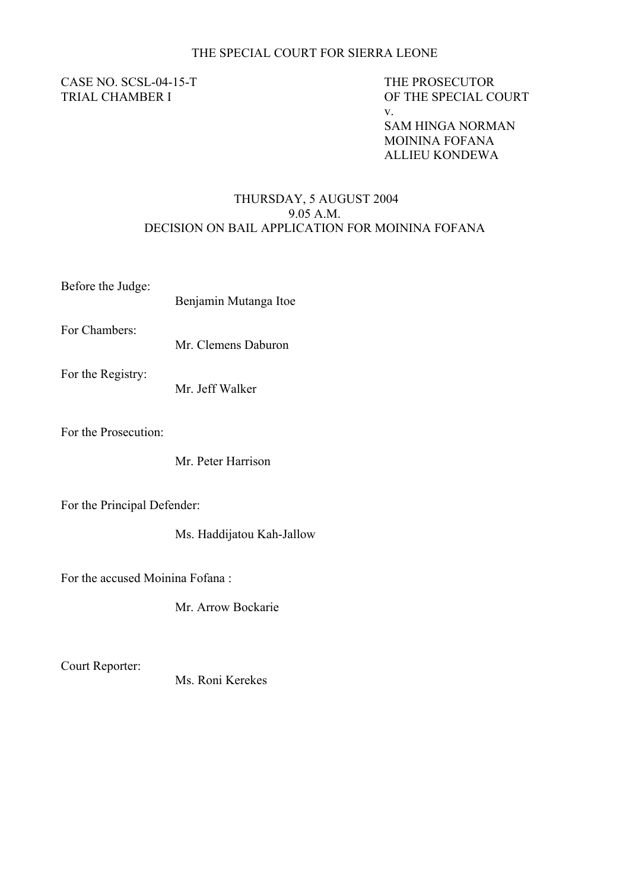## THE SPECIAL COURT FOR SIERRA LEONE

## CASE NO. SCSL-04-15-T<br>
THE PROSECUTOR

v. TRIAL CHAMBER I OF THE SPECIAL COURT

> SAM HINGA NORMAN MOININA FOFANA ALLIEU KONDEWA

## THURSDAY, 5 AUGUST 2004 9.05 A.M. DECISION ON BAIL APPLICATION FOR MOININA FOFANA

Before the Judge:

Benjamin Mutanga Itoe

For Chambers:

Mr. Clemens Daburon

For the Registry:

Mr. Jeff Walker

For the Prosecution:

Mr. Peter Harrison

For the Principal Defender:

Ms. Haddijatou Kah-Jallow

For the accused Moinina Fofana :

Mr. Arrow Bockarie

Court Reporter:

Ms. Roni Kerekes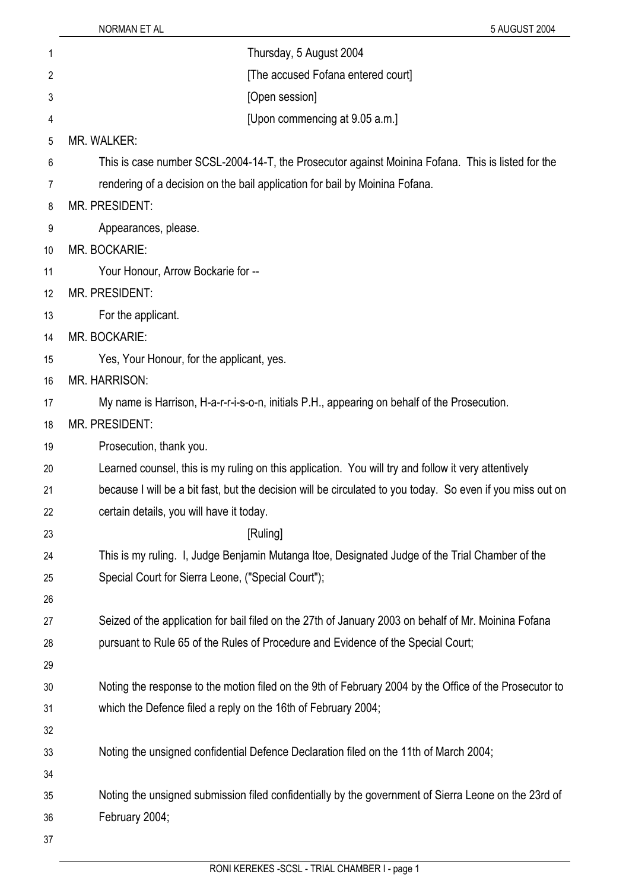| 1  | Thursday, 5 August 2004                                                                                    |
|----|------------------------------------------------------------------------------------------------------------|
| 2  | [The accused Fofana entered court]                                                                         |
| 3  | [Open session]                                                                                             |
| 4  | [Upon commencing at 9.05 a.m.]                                                                             |
| 5  | MR. WALKER:                                                                                                |
| 6  | This is case number SCSL-2004-14-T, the Prosecutor against Moinina Fofana. This is listed for the          |
| 7  | rendering of a decision on the bail application for bail by Moinina Fofana.                                |
| 8  | <b>MR. PRESIDENT:</b>                                                                                      |
| 9  | Appearances, please.                                                                                       |
| 10 | MR. BOCKARIE:                                                                                              |
| 11 | Your Honour, Arrow Bockarie for --                                                                         |
| 12 | <b>MR. PRESIDENT:</b>                                                                                      |
| 13 | For the applicant.                                                                                         |
| 14 | MR. BOCKARIE:                                                                                              |
| 15 | Yes, Your Honour, for the applicant, yes.                                                                  |
| 16 | <b>MR. HARRISON:</b>                                                                                       |
| 17 | My name is Harrison, H-a-r-r-i-s-o-n, initials P.H., appearing on behalf of the Prosecution.               |
| 18 | <b>MR. PRESIDENT:</b>                                                                                      |
| 19 | Prosecution, thank you.                                                                                    |
| 20 | Learned counsel, this is my ruling on this application. You will try and follow it very attentively        |
| 21 | because I will be a bit fast, but the decision will be circulated to you today. So even if you miss out on |
| 22 | certain details, you will have it today.                                                                   |
| 23 | [Ruling]                                                                                                   |
| 24 | This is my ruling. I, Judge Benjamin Mutanga Itoe, Designated Judge of the Trial Chamber of the            |
| 25 | Special Court for Sierra Leone, ("Special Court");                                                         |
| 26 |                                                                                                            |
| 27 | Seized of the application for bail filed on the 27th of January 2003 on behalf of Mr. Moinina Fofana       |
| 28 | pursuant to Rule 65 of the Rules of Procedure and Evidence of the Special Court;                           |
| 29 |                                                                                                            |
| 30 | Noting the response to the motion filed on the 9th of February 2004 by the Office of the Prosecutor to     |
| 31 | which the Defence filed a reply on the 16th of February 2004;                                              |
| 32 |                                                                                                            |
| 33 | Noting the unsigned confidential Defence Declaration filed on the 11th of March 2004;                      |
| 34 |                                                                                                            |
| 35 | Noting the unsigned submission filed confidentially by the government of Sierra Leone on the 23rd of       |
| 36 | February 2004;                                                                                             |
| 37 |                                                                                                            |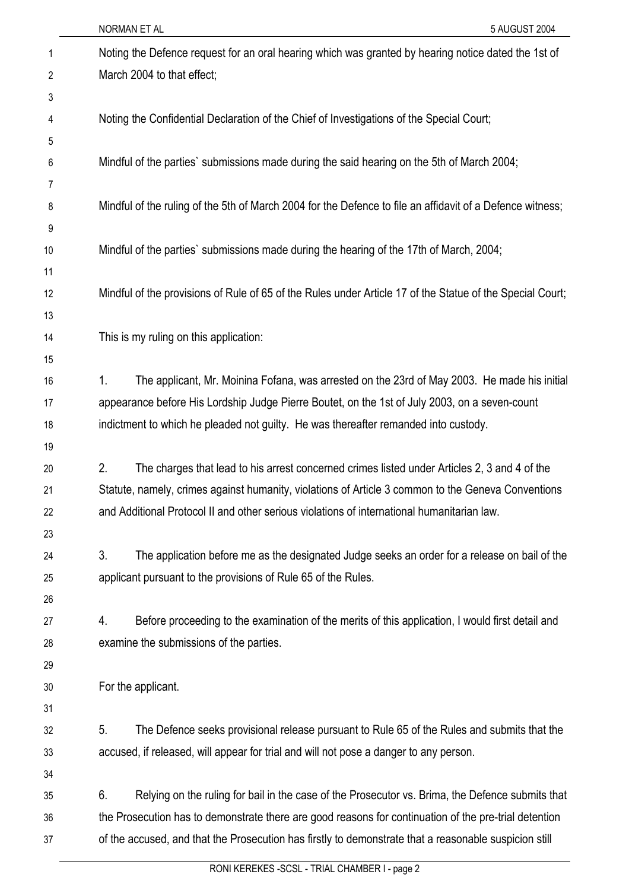|    | NORMAN ET AL<br>5 AUGUST 2004                                                                             |  |
|----|-----------------------------------------------------------------------------------------------------------|--|
| 1  | Noting the Defence request for an oral hearing which was granted by hearing notice dated the 1st of       |  |
| 2  | March 2004 to that effect;                                                                                |  |
| 3  |                                                                                                           |  |
| 4  | Noting the Confidential Declaration of the Chief of Investigations of the Special Court;                  |  |
| 5  |                                                                                                           |  |
| 6  | Mindful of the parties' submissions made during the said hearing on the 5th of March 2004;                |  |
| 7  |                                                                                                           |  |
| 8  | Mindful of the ruling of the 5th of March 2004 for the Defence to file an affidavit of a Defence witness; |  |
| 9  |                                                                                                           |  |
| 10 | Mindful of the parties' submissions made during the hearing of the 17th of March, 2004;                   |  |
| 11 |                                                                                                           |  |
| 12 | Mindful of the provisions of Rule of 65 of the Rules under Article 17 of the Statue of the Special Court; |  |
| 13 |                                                                                                           |  |
| 14 | This is my ruling on this application:                                                                    |  |
| 15 |                                                                                                           |  |
| 16 | 1.<br>The applicant, Mr. Moinina Fofana, was arrested on the 23rd of May 2003. He made his initial        |  |
| 17 | appearance before His Lordship Judge Pierre Boutet, on the 1st of July 2003, on a seven-count             |  |
| 18 | indictment to which he pleaded not guilty. He was thereafter remanded into custody.                       |  |
| 19 |                                                                                                           |  |
| 20 | 2.<br>The charges that lead to his arrest concerned crimes listed under Articles 2, 3 and 4 of the        |  |
| 21 | Statute, namely, crimes against humanity, violations of Article 3 common to the Geneva Conventions        |  |
| 22 | and Additional Protocol II and other serious violations of international humanitarian law.                |  |
| 23 |                                                                                                           |  |
| 24 | 3.<br>The application before me as the designated Judge seeks an order for a release on bail of the       |  |
| 25 | applicant pursuant to the provisions of Rule 65 of the Rules.                                             |  |
| 26 |                                                                                                           |  |
| 27 | 4.<br>Before proceeding to the examination of the merits of this application, I would first detail and    |  |
| 28 | examine the submissions of the parties.                                                                   |  |
| 29 |                                                                                                           |  |
| 30 | For the applicant.                                                                                        |  |
| 31 |                                                                                                           |  |
| 32 | 5.<br>The Defence seeks provisional release pursuant to Rule 65 of the Rules and submits that the         |  |
| 33 | accused, if released, will appear for trial and will not pose a danger to any person.                     |  |
| 34 |                                                                                                           |  |
| 35 | 6.<br>Relying on the ruling for bail in the case of the Prosecutor vs. Brima, the Defence submits that    |  |
| 36 | the Prosecution has to demonstrate there are good reasons for continuation of the pre-trial detention     |  |
| 37 | of the accused, and that the Prosecution has firstly to demonstrate that a reasonable suspicion still     |  |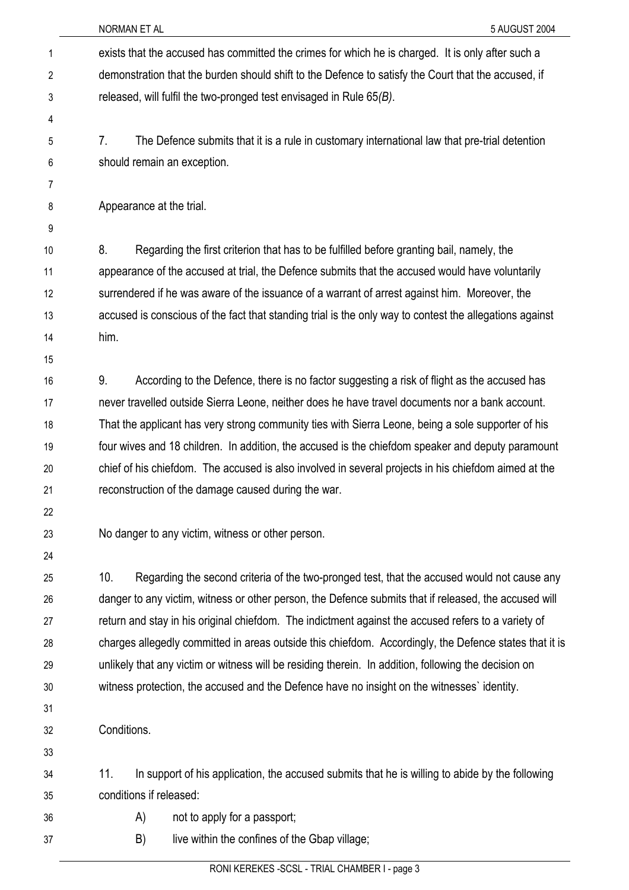| 1  |                             | exists that the accused has committed the crimes for which he is charged. It is only after such a       |
|----|-----------------------------|---------------------------------------------------------------------------------------------------------|
| 2  |                             | demonstration that the burden should shift to the Defence to satisfy the Court that the accused, if     |
| 3  |                             | released, will fulfil the two-pronged test envisaged in Rule $65(B)$ .                                  |
| 4  |                             |                                                                                                         |
| 5  | 7.                          | The Defence submits that it is a rule in customary international law that pre-trial detention           |
| 6  | should remain an exception. |                                                                                                         |
| 7  |                             |                                                                                                         |
| 8  | Appearance at the trial.    |                                                                                                         |
| 9  |                             |                                                                                                         |
| 10 | 8.                          | Regarding the first criterion that has to be fulfilled before granting bail, namely, the                |
| 11 |                             | appearance of the accused at trial, the Defence submits that the accused would have voluntarily         |
| 12 |                             | surrendered if he was aware of the issuance of a warrant of arrest against him. Moreover, the           |
| 13 |                             | accused is conscious of the fact that standing trial is the only way to contest the allegations against |
| 14 | him.                        |                                                                                                         |
| 15 |                             |                                                                                                         |
| 16 | 9.                          | According to the Defence, there is no factor suggesting a risk of flight as the accused has             |
| 17 |                             | never travelled outside Sierra Leone, neither does he have travel documents nor a bank account.         |
| 18 |                             | That the applicant has very strong community ties with Sierra Leone, being a sole supporter of his      |
| 19 |                             | four wives and 18 children. In addition, the accused is the chiefdom speaker and deputy paramount       |
| 20 |                             | chief of his chiefdom. The accused is also involved in several projects in his chiefdom aimed at the    |
| 21 |                             | reconstruction of the damage caused during the war.                                                     |
| 22 |                             |                                                                                                         |
| 23 |                             | No danger to any victim, witness or other person.                                                       |
| 24 |                             |                                                                                                         |
| 25 | 10.                         | Regarding the second criteria of the two-pronged test, that the accused would not cause any             |
| 26 |                             | danger to any victim, witness or other person, the Defence submits that if released, the accused will   |
| 27 |                             | return and stay in his original chiefdom. The indictment against the accused refers to a variety of     |
| 28 |                             | charges allegedly committed in areas outside this chiefdom. Accordingly, the Defence states that it is  |
| 29 |                             | unlikely that any victim or witness will be residing therein. In addition, following the decision on    |
| 30 |                             | witness protection, the accused and the Defence have no insight on the witnesses' identity.             |
| 31 |                             |                                                                                                         |
| 32 | Conditions.                 |                                                                                                         |
| 33 |                             |                                                                                                         |
| 34 | 11.                         | In support of his application, the accused submits that he is willing to abide by the following         |
| 35 | conditions if released:     |                                                                                                         |
| 36 | A)                          | not to apply for a passport;                                                                            |
| 37 | B)                          | live within the confines of the Gbap village;                                                           |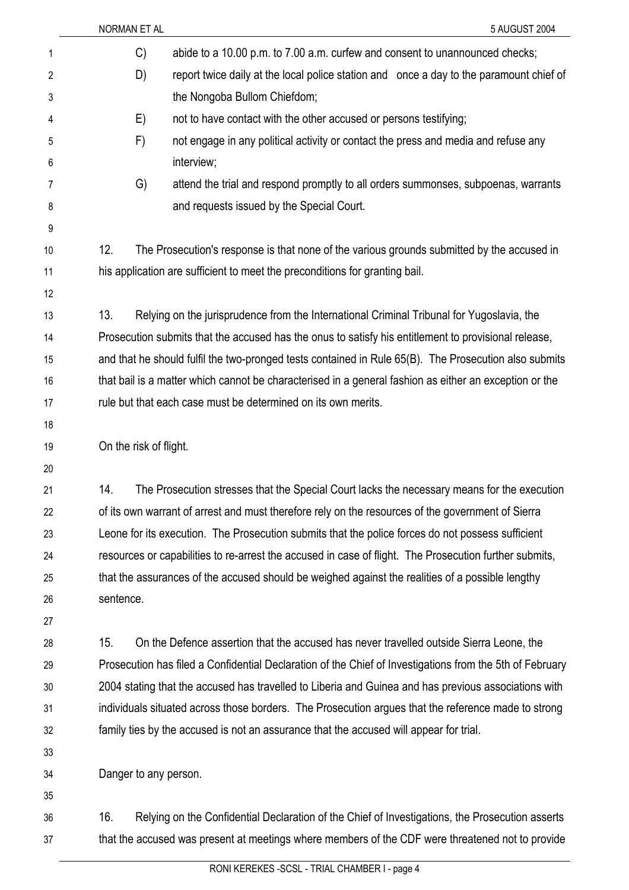|                | NORMAN ET AL<br>5 AUGUST 2004                                                                            |  |
|----------------|----------------------------------------------------------------------------------------------------------|--|
| 1              | abide to a 10.00 p.m. to 7.00 a.m. curfew and consent to unannounced checks;<br>C)                       |  |
| $\overline{2}$ | D)<br>report twice daily at the local police station and once a day to the paramount chief of            |  |
| 3              | the Nongoba Bullom Chiefdom;                                                                             |  |
| 4              | not to have contact with the other accused or persons testifying;<br>E)                                  |  |
| 5              | F)<br>not engage in any political activity or contact the press and media and refuse any                 |  |
| 6              | interview;                                                                                               |  |
| 7              | G)<br>attend the trial and respond promptly to all orders summonses, subpoenas, warrants                 |  |
| 8              | and requests issued by the Special Court.                                                                |  |
| 9              |                                                                                                          |  |
| 10             | 12.<br>The Prosecution's response is that none of the various grounds submitted by the accused in        |  |
| 11             | his application are sufficient to meet the preconditions for granting bail.                              |  |
| 12             |                                                                                                          |  |
| 13             | 13.<br>Relying on the jurisprudence from the International Criminal Tribunal for Yugoslavia, the         |  |
| 14             | Prosecution submits that the accused has the onus to satisfy his entitlement to provisional release,     |  |
| 15             | and that he should fulfil the two-pronged tests contained in Rule 65(B). The Prosecution also submits    |  |
| 16             | that bail is a matter which cannot be characterised in a general fashion as either an exception or the   |  |
| 17             | rule but that each case must be determined on its own merits.                                            |  |
| 18             |                                                                                                          |  |
| 19             | On the risk of flight.                                                                                   |  |
| 20             |                                                                                                          |  |
| 21             | 14.<br>The Prosecution stresses that the Special Court lacks the necessary means for the execution       |  |
| 22             | of its own warrant of arrest and must therefore rely on the resources of the government of Sierra        |  |
| 23             | Leone for its execution. The Prosecution submits that the police forces do not possess sufficient        |  |
| 24             | resources or capabilities to re-arrest the accused in case of flight. The Prosecution further submits,   |  |
| 25             | that the assurances of the accused should be weighed against the realities of a possible lengthy         |  |
| 26             | sentence.                                                                                                |  |
| 27             |                                                                                                          |  |
| 28             | 15.<br>On the Defence assertion that the accused has never travelled outside Sierra Leone, the           |  |
| 29             | Prosecution has filed a Confidential Declaration of the Chief of Investigations from the 5th of February |  |
| 30             | 2004 stating that the accused has travelled to Liberia and Guinea and has previous associations with     |  |
| 31             | individuals situated across those borders. The Prosecution argues that the reference made to strong      |  |
| 32             | family ties by the accused is not an assurance that the accused will appear for trial.                   |  |
| 33             |                                                                                                          |  |
| 34             | Danger to any person.                                                                                    |  |
| 35             |                                                                                                          |  |
| 36             | 16.<br>Relying on the Confidential Declaration of the Chief of Investigations, the Prosecution asserts   |  |
| 37             | that the accused was present at meetings where members of the CDF were threatened not to provide         |  |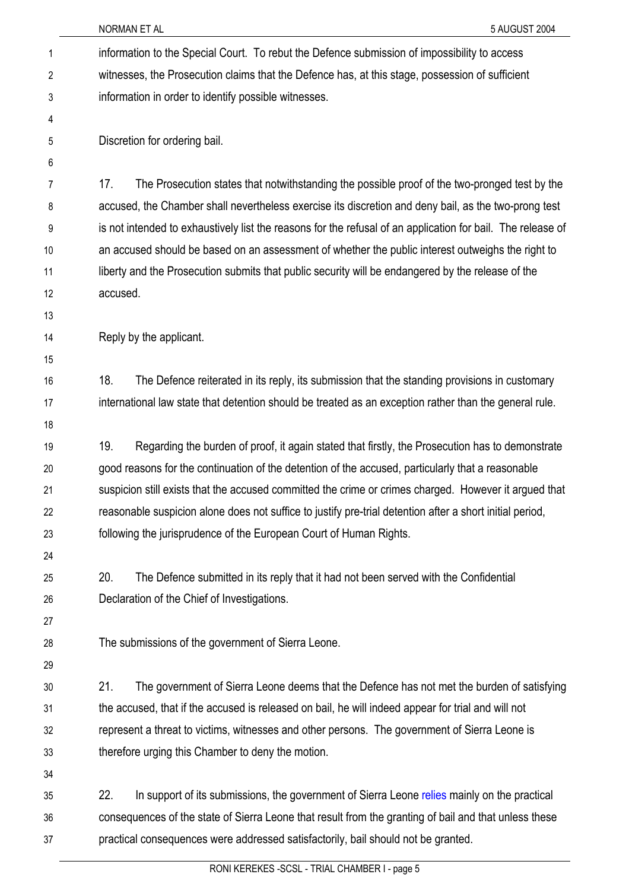| 1              | information to the Special Court. To rebut the Defence submission of impossibility to access                |  |  |
|----------------|-------------------------------------------------------------------------------------------------------------|--|--|
| $\overline{2}$ | witnesses, the Prosecution claims that the Defence has, at this stage, possession of sufficient             |  |  |
| 3              | information in order to identify possible witnesses.                                                        |  |  |
| 4              |                                                                                                             |  |  |
| 5              | Discretion for ordering bail.                                                                               |  |  |
| 6              |                                                                                                             |  |  |
| 7              | 17.<br>The Prosecution states that notwithstanding the possible proof of the two-pronged test by the        |  |  |
| 8              | accused, the Chamber shall nevertheless exercise its discretion and deny bail, as the two-prong test        |  |  |
| 9              | is not intended to exhaustively list the reasons for the refusal of an application for bail. The release of |  |  |
| 10             | an accused should be based on an assessment of whether the public interest outweighs the right to           |  |  |
| 11             | liberty and the Prosecution submits that public security will be endangered by the release of the           |  |  |
| 12             | accused.                                                                                                    |  |  |
| 13             |                                                                                                             |  |  |
| 14             | Reply by the applicant.                                                                                     |  |  |
| 15             |                                                                                                             |  |  |
| 16             | 18.<br>The Defence reiterated in its reply, its submission that the standing provisions in customary        |  |  |
| 17             | international law state that detention should be treated as an exception rather than the general rule.      |  |  |
| 18             |                                                                                                             |  |  |
| 19             | 19.<br>Regarding the burden of proof, it again stated that firstly, the Prosecution has to demonstrate      |  |  |
| 20             | good reasons for the continuation of the detention of the accused, particularly that a reasonable           |  |  |
| 21             | suspicion still exists that the accused committed the crime or crimes charged. However it argued that       |  |  |
| 22             | reasonable suspicion alone does not suffice to justify pre-trial detention after a short initial period,    |  |  |
| 23             | following the jurisprudence of the European Court of Human Rights.                                          |  |  |
| 24             |                                                                                                             |  |  |
| 25             | The Defence submitted in its reply that it had not been served with the Confidential<br>20.                 |  |  |
| 26             | Declaration of the Chief of Investigations.                                                                 |  |  |
| 27             |                                                                                                             |  |  |
| 28             | The submissions of the government of Sierra Leone.                                                          |  |  |
| 29             |                                                                                                             |  |  |
| 30             | 21.<br>The government of Sierra Leone deems that the Defence has not met the burden of satisfying           |  |  |
| 31             | the accused, that if the accused is released on bail, he will indeed appear for trial and will not          |  |  |
| 32             | represent a threat to victims, witnesses and other persons. The government of Sierra Leone is               |  |  |
| 33             | therefore urging this Chamber to deny the motion.                                                           |  |  |
| 34             |                                                                                                             |  |  |
| 35             | 22.<br>In support of its submissions, the government of Sierra Leone relies mainly on the practical         |  |  |
| 36             | consequences of the state of Sierra Leone that result from the granting of bail and that unless these       |  |  |
| 37             | practical consequences were addressed satisfactorily, bail should not be granted.                           |  |  |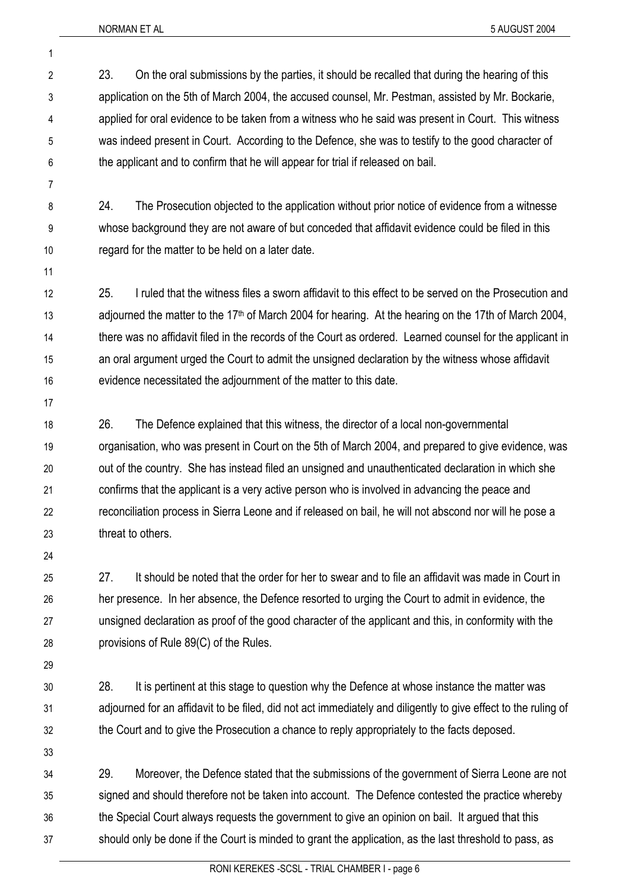- 2 3 4 5 6 23. On the oral submissions by the parties, it should be recalled that during the hearing of this application on the 5th of March 2004, the accused counsel, Mr. Pestman, assisted by Mr. Bockarie, applied for oral evidence to be taken from a witness who he said was present in Court. This witness was indeed present in Court. According to the Defence, she was to testify to the good character of the applicant and to confirm that he will appear for trial if released on bail.
- 8 9 10 24. The Prosecution objected to the application without prior notice of evidence from a witnesse whose background they are not aware of but conceded that affidavit evidence could be filed in this regard for the matter to be held on a later date.
- 11

7

1

12 13 14 15 16 25. I ruled that the witness files a sworn affidavit to this effect to be served on the Prosecution and adjourned the matter to the 17<sup>th</sup> of March 2004 for hearing. At the hearing on the 17th of March 2004, there was no affidavit filed in the records of the Court as ordered. Learned counsel for the applicant in an oral argument urged the Court to admit the unsigned declaration by the witness whose affidavit evidence necessitated the adjournment of the matter to this date.

17

18 19 20 21 22 23 26. The Defence explained that this witness, the director of a local non-governmental organisation, who was present in Court on the 5th of March 2004, and prepared to give evidence, was out of the country. She has instead filed an unsigned and unauthenticated declaration in which she confirms that the applicant is a very active person who is involved in advancing the peace and reconciliation process in Sierra Leone and if released on bail, he will not abscond nor will he pose a threat to others.

24

25 26 27 28 27. It should be noted that the order for her to swear and to file an affidavit was made in Court in her presence. In her absence, the Defence resorted to urging the Court to admit in evidence, the unsigned declaration as proof of the good character of the applicant and this, in conformity with the provisions of Rule 89(C) of the Rules.

29

30 31 32 28. It is pertinent at this stage to question why the Defence at whose instance the matter was adjourned for an affidavit to be filed, did not act immediately and diligently to give effect to the ruling of the Court and to give the Prosecution a chance to reply appropriately to the facts deposed.

33

34 35 36 37 29. Moreover, the Defence stated that the submissions of the government of Sierra Leone are not signed and should therefore not be taken into account. The Defence contested the practice whereby the Special Court always requests the government to give an opinion on bail. It argued that this should only be done if the Court is minded to grant the application, as the last threshold to pass, as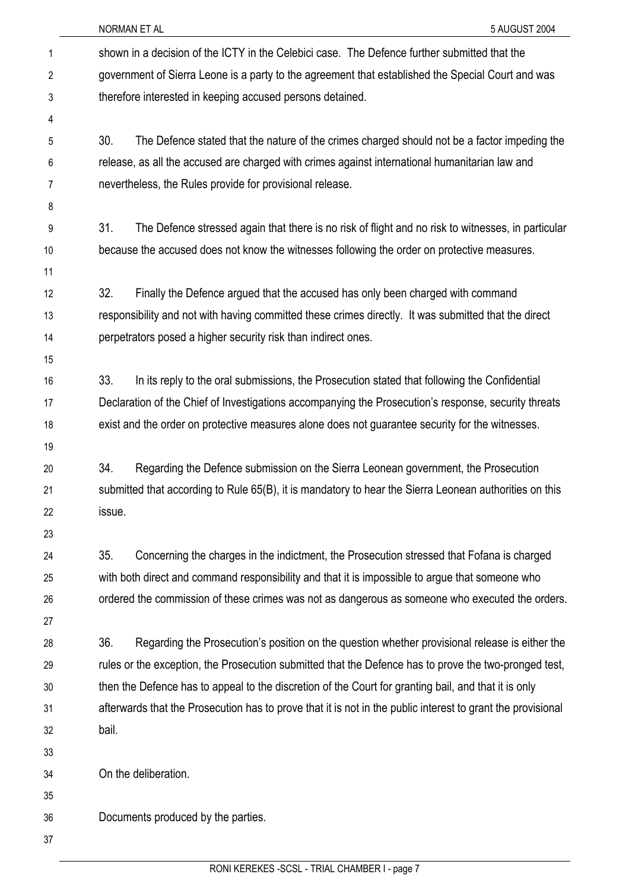|    | 5 AUGUST 2004<br>NORMAN ET AL                                                                               |
|----|-------------------------------------------------------------------------------------------------------------|
| 1  | shown in a decision of the ICTY in the Celebici case. The Defence further submitted that the                |
| 2  | government of Sierra Leone is a party to the agreement that established the Special Court and was           |
| 3  | therefore interested in keeping accused persons detained.                                                   |
| 4  |                                                                                                             |
| 5  | 30.<br>The Defence stated that the nature of the crimes charged should not be a factor impeding the         |
| 6  | release, as all the accused are charged with crimes against international humanitarian law and              |
| 7  | nevertheless, the Rules provide for provisional release.                                                    |
| 8  |                                                                                                             |
| 9  | 31.<br>The Defence stressed again that there is no risk of flight and no risk to witnesses, in particular   |
| 10 | because the accused does not know the witnesses following the order on protective measures.                 |
| 11 |                                                                                                             |
| 12 | 32.<br>Finally the Defence argued that the accused has only been charged with command                       |
| 13 | responsibility and not with having committed these crimes directly. It was submitted that the direct        |
| 14 | perpetrators posed a higher security risk than indirect ones.                                               |
| 15 |                                                                                                             |
| 16 | 33.<br>In its reply to the oral submissions, the Prosecution stated that following the Confidential         |
| 17 | Declaration of the Chief of Investigations accompanying the Prosecution's response, security threats        |
| 18 | exist and the order on protective measures alone does not guarantee security for the witnesses.             |
| 19 |                                                                                                             |
| 20 | 34.<br>Regarding the Defence submission on the Sierra Leonean government, the Prosecution                   |
| 21 | submitted that according to Rule 65(B), it is mandatory to hear the Sierra Leonean authorities on this      |
| 22 | issue.                                                                                                      |
| 23 |                                                                                                             |
| 24 | 35.<br>Concerning the charges in the indictment, the Prosecution stressed that Fofana is charged            |
| 25 | with both direct and command responsibility and that it is impossible to argue that someone who             |
| 26 | ordered the commission of these crimes was not as dangerous as someone who executed the orders.             |
| 27 |                                                                                                             |
| 28 | 36.<br>Regarding the Prosecution's position on the question whether provisional release is either the       |
| 29 | rules or the exception, the Prosecution submitted that the Defence has to prove the two-pronged test,       |
| 30 | then the Defence has to appeal to the discretion of the Court for granting bail, and that it is only        |
| 31 | afterwards that the Prosecution has to prove that it is not in the public interest to grant the provisional |
| 32 | bail.                                                                                                       |
| 33 |                                                                                                             |
| 34 | On the deliberation.                                                                                        |
| 35 |                                                                                                             |
| 36 | Documents produced by the parties.                                                                          |
| 37 |                                                                                                             |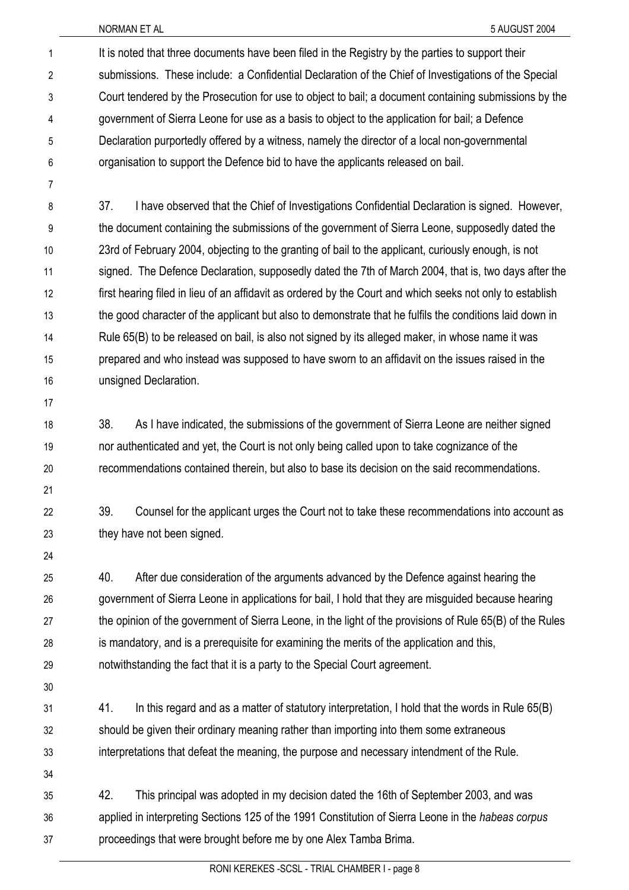It is noted that three documents have been filed in the Registry by the parties to support their submissions. These include: a Confidential Declaration of the Chief of Investigations of the Special Court tendered by the Prosecution for use to object to bail; a document containing submissions by the government of Sierra Leone for use as a basis to object to the application for bail; a Defence Declaration purportedly offered by a witness, namely the director of a local non-governmental organisation to support the Defence bid to have the applicants released on bail. 1 2 3 4 5 6

7

8 9 10 11 12 13 14 15 16 37. I have observed that the Chief of Investigations Confidential Declaration is signed. However, the document containing the submissions of the government of Sierra Leone, supposedly dated the 23rd of February 2004, objecting to the granting of bail to the applicant, curiously enough, is not signed. The Defence Declaration, supposedly dated the 7th of March 2004, that is, two days after the first hearing filed in lieu of an affidavit as ordered by the Court and which seeks not only to establish the good character of the applicant but also to demonstrate that he fulfils the conditions laid down in Rule 65(B) to be released on bail, is also not signed by its alleged maker, in whose name it was prepared and who instead was supposed to have sworn to an affidavit on the issues raised in the unsigned Declaration.

17

18 19 38. As I have indicated, the submissions of the government of Sierra Leone are neither signed nor authenticated and yet, the Court is not only being called upon to take cognizance of the recommendations contained therein, but also to base its decision on the said recommendations.

21 22

20

39. Counsel for the applicant urges the Court not to take these recommendations into account as they have not been signed.

24

23

25 26 27 28 29 40. After due consideration of the arguments advanced by the Defence against hearing the government of Sierra Leone in applications for bail, I hold that they are misguided because hearing the opinion of the government of Sierra Leone, in the light of the provisions of Rule 65(B) of the Rules is mandatory, and is a prerequisite for examining the merits of the application and this, notwithstanding the fact that it is a party to the Special Court agreement.

30

31 32 33 41. In this regard and as a matter of statutory interpretation, I hold that the words in Rule 65(B) should be given their ordinary meaning rather than importing into them some extraneous interpretations that defeat the meaning, the purpose and necessary intendment of the Rule.

34

35 36 37 42. This principal was adopted in my decision dated the 16th of September 2003, and was applied in interpreting Sections 125 of the 1991 Constitution of Sierra Leone in the *habeas corpus* proceedings that were brought before me by one Alex Tamba Brima.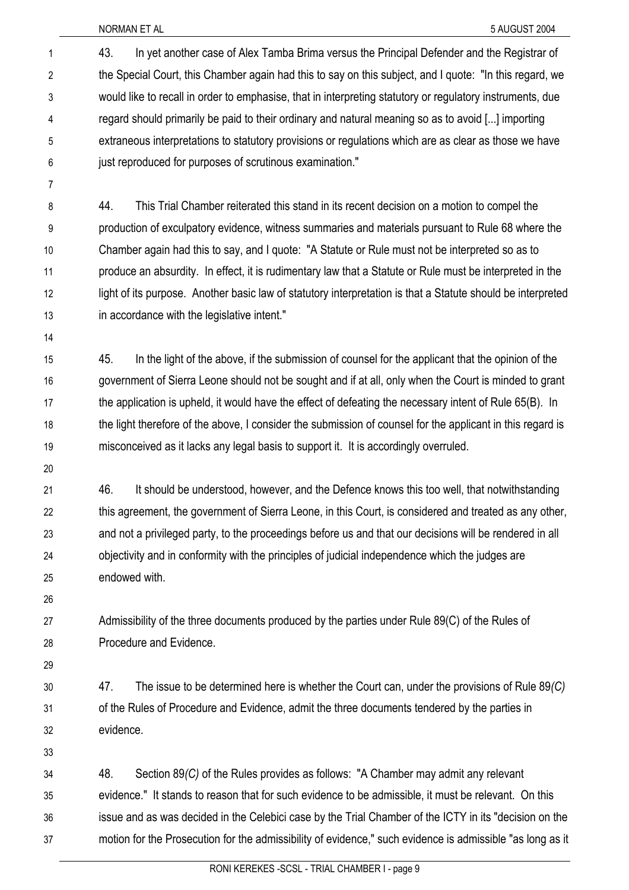43. In yet another case of Alex Tamba Brima versus the Principal Defender and the Registrar of the Special Court, this Chamber again had this to say on this subject, and I quote: "In this regard, we would like to recall in order to emphasise, that in interpreting statutory or regulatory instruments, due regard should primarily be paid to their ordinary and natural meaning so as to avoid [...] importing extraneous interpretations to statutory provisions or regulations which are as clear as those we have just reproduced for purposes of scrutinous examination." 1 2 3 4 5 6

- 8 9 10 11 12 13 44. This Trial Chamber reiterated this stand in its recent decision on a motion to compel the production of exculpatory evidence, witness summaries and materials pursuant to Rule 68 where the Chamber again had this to say, and I quote: "A Statute or Rule must not be interpreted so as to produce an absurdity. In effect, it is rudimentary law that a Statute or Rule must be interpreted in the light of its purpose. Another basic law of statutory interpretation is that a Statute should be interpreted in accordance with the legislative intent."
- 14

7

15 16 17 18 19 45. In the light of the above, if the submission of counsel for the applicant that the opinion of the government of Sierra Leone should not be sought and if at all, only when the Court is minded to grant the application is upheld, it would have the effect of defeating the necessary intent of Rule 65(B). In the light therefore of the above, I consider the submission of counsel for the applicant in this regard is misconceived as it lacks any legal basis to support it. It is accordingly overruled.

20

21 22 23 24 25 46. It should be understood, however, and the Defence knows this too well, that notwithstanding this agreement, the government of Sierra Leone, in this Court, is considered and treated as any other, and not a privileged party, to the proceedings before us and that our decisions will be rendered in all objectivity and in conformity with the principles of judicial independence which the judges are endowed with.

26

27 28 Admissibility of the three documents produced by the parties under Rule 89(C) of the Rules of Procedure and Evidence.

29

30 31 32 47. The issue to be determined here is whether the Court can, under the provisions of Rule 89*(C)* of the Rules of Procedure and Evidence, admit the three documents tendered by the parties in evidence.

33

34 35 36 37 48. Section 89*(C)* of the Rules provides as follows: "A Chamber may admit any relevant evidence." It stands to reason that for such evidence to be admissible, it must be relevant. On this issue and as was decided in the Celebici case by the Trial Chamber of the ICTY in its "decision on the motion for the Prosecution for the admissibility of evidence," such evidence is admissible "as long as it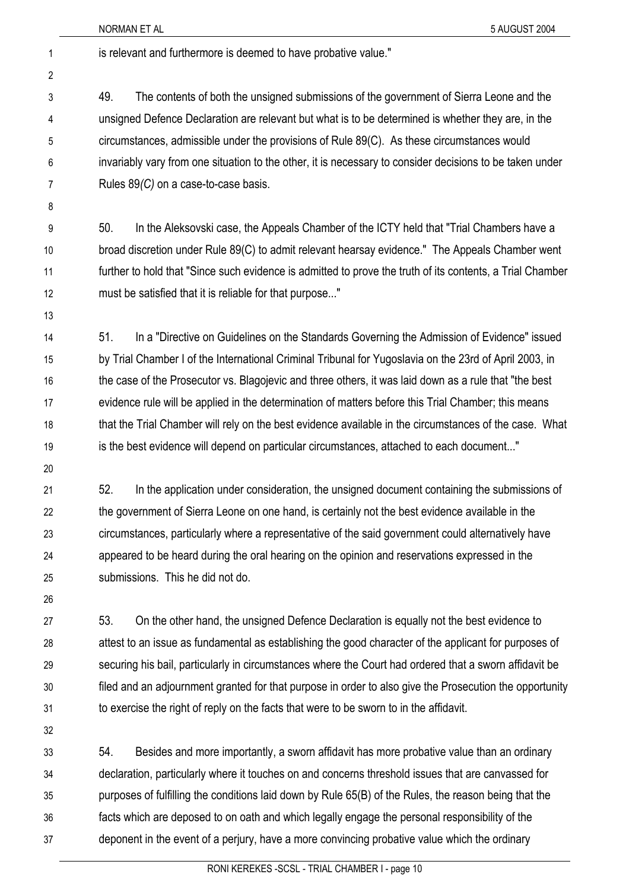NORMAN ET AL 5 AUGUST 2004 1 is relevant and furthermore is deemed to have probative value." 2 3 4 5 6 7 8 9 10 11 12 13 14 15 16 17 18 19 20 21 22 23 24 25 26 27 28 29 30 31 32 49. The contents of both the unsigned submissions of the government of Sierra Leone and the unsigned Defence Declaration are relevant but what is to be determined is whether they are, in the circumstances, admissible under the provisions of Rule 89(C). As these circumstances would invariably vary from one situation to the other, it is necessary to consider decisions to be taken under Rules 89*(C)* on a case-to-case basis. 50. In the Aleksovski case, the Appeals Chamber of the ICTY held that "Trial Chambers have a broad discretion under Rule 89(C) to admit relevant hearsay evidence." The Appeals Chamber went further to hold that "Since such evidence is admitted to prove the truth of its contents, a Trial Chamber must be satisfied that it is reliable for that purpose..." 51. In a "Directive on Guidelines on the Standards Governing the Admission of Evidence" issued by Trial Chamber I of the International Criminal Tribunal for Yugoslavia on the 23rd of April 2003, in the case of the Prosecutor vs. Blagojevic and three others, it was laid down as a rule that "the best evidence rule will be applied in the determination of matters before this Trial Chamber; this means that the Trial Chamber will rely on the best evidence available in the circumstances of the case. What is the best evidence will depend on particular circumstances, attached to each document..." 52. In the application under consideration, the unsigned document containing the submissions of the government of Sierra Leone on one hand, is certainly not the best evidence available in the circumstances, particularly where a representative of the said government could alternatively have appeared to be heard during the oral hearing on the opinion and reservations expressed in the submissions. This he did not do. 53. On the other hand, the unsigned Defence Declaration is equally not the best evidence to attest to an issue as fundamental as establishing the good character of the applicant for purposes of securing his bail, particularly in circumstances where the Court had ordered that a sworn affidavit be filed and an adjournment granted for that purpose in order to also give the Prosecution the opportunity to exercise the right of reply on the facts that were to be sworn to in the affidavit.

33 34 35 36 37 54. Besides and more importantly, a sworn affidavit has more probative value than an ordinary declaration, particularly where it touches on and concerns threshold issues that are canvassed for purposes of fulfilling the conditions laid down by Rule 65(B) of the Rules, the reason being that the facts which are deposed to on oath and which legally engage the personal responsibility of the deponent in the event of a perjury, have a more convincing probative value which the ordinary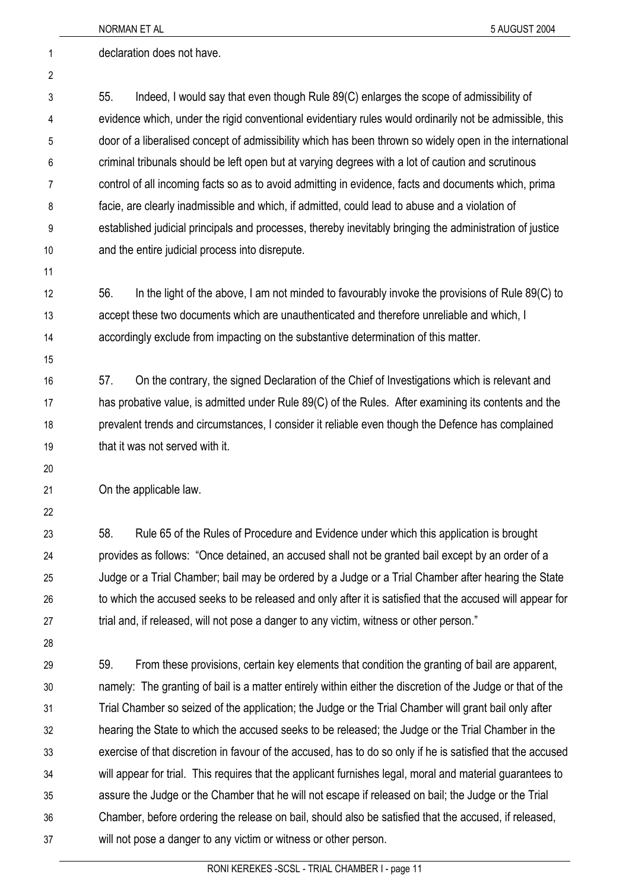|    | NORMAN ET AL<br>5 AUGUST 2004                                                                               |
|----|-------------------------------------------------------------------------------------------------------------|
| 1  | declaration does not have.                                                                                  |
| 2  |                                                                                                             |
| 3  | 55.<br>Indeed, I would say that even though Rule 89(C) enlarges the scope of admissibility of               |
| 4  | evidence which, under the rigid conventional evidentiary rules would ordinarily not be admissible, this     |
| 5  | door of a liberalised concept of admissibility which has been thrown so widely open in the international    |
| 6  | criminal tribunals should be left open but at varying degrees with a lot of caution and scrutinous          |
| 7  | control of all incoming facts so as to avoid admitting in evidence, facts and documents which, prima        |
| 8  | facie, are clearly inadmissible and which, if admitted, could lead to abuse and a violation of              |
| 9  | established judicial principals and processes, thereby inevitably bringing the administration of justice    |
| 10 | and the entire judicial process into disrepute.                                                             |
| 11 |                                                                                                             |
| 12 | 56.<br>In the light of the above, I am not minded to favourably invoke the provisions of Rule 89(C) to      |
| 13 | accept these two documents which are unauthenticated and therefore unreliable and which, I                  |
| 14 | accordingly exclude from impacting on the substantive determination of this matter.                         |
| 15 |                                                                                                             |
| 16 | On the contrary, the signed Declaration of the Chief of Investigations which is relevant and<br>57.         |
| 17 | has probative value, is admitted under Rule 89(C) of the Rules. After examining its contents and the        |
| 18 | prevalent trends and circumstances, I consider it reliable even though the Defence has complained           |
| 19 | that it was not served with it.                                                                             |
| 20 |                                                                                                             |
| 21 | On the applicable law.                                                                                      |
| 22 |                                                                                                             |
| 23 | 58.<br>Rule 65 of the Rules of Procedure and Evidence under which this application is brought               |
| 24 | provides as follows: "Once detained, an accused shall not be granted bail except by an order of a           |
| 25 | Judge or a Trial Chamber; bail may be ordered by a Judge or a Trial Chamber after hearing the State         |
| 26 | to which the accused seeks to be released and only after it is satisfied that the accused will appear for   |
| 27 | trial and, if released, will not pose a danger to any victim, witness or other person."                     |
| 28 |                                                                                                             |
| 29 | From these provisions, certain key elements that condition the granting of bail are apparent,<br>59.        |
| 30 | namely: The granting of bail is a matter entirely within either the discretion of the Judge or that of the  |
| 31 | Trial Chamber so seized of the application; the Judge or the Trial Chamber will grant bail only after       |
| 32 | hearing the State to which the accused seeks to be released; the Judge or the Trial Chamber in the          |
| 33 | exercise of that discretion in favour of the accused, has to do so only if he is satisfied that the accused |
| 34 | will appear for trial. This requires that the applicant furnishes legal, moral and material guarantees to   |
| 35 | assure the Judge or the Chamber that he will not escape if released on bail; the Judge or the Trial         |
| 36 | Chamber, before ordering the release on bail, should also be satisfied that the accused, if released,       |
| 37 | will not pose a danger to any victim or witness or other person.                                            |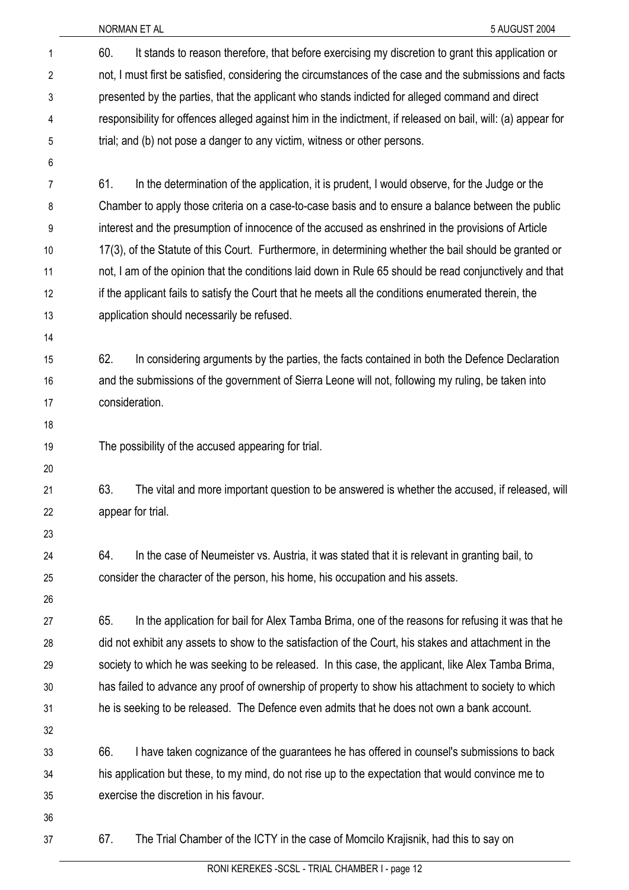NORMAN ET AL 5 AUGUST 2004

| 1              | It stands to reason therefore, that before exercising my discretion to grant this application or<br>60.      |
|----------------|--------------------------------------------------------------------------------------------------------------|
| $\overline{2}$ | not, I must first be satisfied, considering the circumstances of the case and the submissions and facts      |
| 3              | presented by the parties, that the applicant who stands indicted for alleged command and direct              |
| 4              | responsibility for offences alleged against him in the indictment, if released on bail, will: (a) appear for |
| 5              | trial; and (b) not pose a danger to any victim, witness or other persons.                                    |
| 6              |                                                                                                              |
| 7              | In the determination of the application, it is prudent, I would observe, for the Judge or the<br>61.         |
| 8              | Chamber to apply those criteria on a case-to-case basis and to ensure a balance between the public           |
| 9              | interest and the presumption of innocence of the accused as enshrined in the provisions of Article           |
| 10             | 17(3), of the Statute of this Court. Furthermore, in determining whether the bail should be granted or       |
| 11             | not, I am of the opinion that the conditions laid down in Rule 65 should be read conjunctively and that      |
| 12             | if the applicant fails to satisfy the Court that he meets all the conditions enumerated therein, the         |
| 13             | application should necessarily be refused.                                                                   |
| 14             |                                                                                                              |
| 15             | 62.<br>In considering arguments by the parties, the facts contained in both the Defence Declaration          |
| 16             | and the submissions of the government of Sierra Leone will not, following my ruling, be taken into           |
| 17             | consideration.                                                                                               |
| 18             |                                                                                                              |
| 19             | The possibility of the accused appearing for trial.                                                          |
| 20             |                                                                                                              |
| 21             | 63.<br>The vital and more important question to be answered is whether the accused, if released, will        |
| 22             | appear for trial.                                                                                            |
| 23             |                                                                                                              |
| 24             | 64.<br>In the case of Neumeister vs. Austria, it was stated that it is relevant in granting bail, to         |
| 25             | consider the character of the person, his home, his occupation and his assets.                               |
| 26             |                                                                                                              |
| 27             | In the application for bail for Alex Tamba Brima, one of the reasons for refusing it was that he<br>65.      |
| 28             | did not exhibit any assets to show to the satisfaction of the Court, his stakes and attachment in the        |
| 29             | society to which he was seeking to be released. In this case, the applicant, like Alex Tamba Brima,          |
| 30             | has failed to advance any proof of ownership of property to show his attachment to society to which          |
| 31             | he is seeking to be released. The Defence even admits that he does not own a bank account.                   |
| 32             |                                                                                                              |
| 33             | 66.<br>I have taken cognizance of the guarantees he has offered in counsel's submissions to back             |
| 34             | his application but these, to my mind, do not rise up to the expectation that would convince me to           |
| 35             | exercise the discretion in his favour.                                                                       |
| 36             |                                                                                                              |
| 37             | The Trial Chamber of the ICTY in the case of Momcilo Krajisnik, had this to say on<br>67.                    |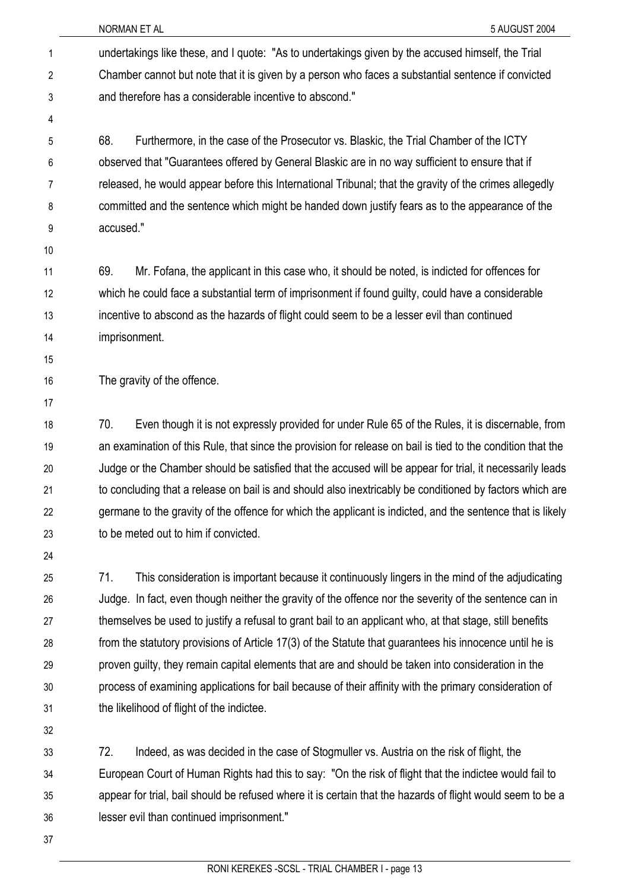NORMAN ET AL 5 AUGUST 2004 undertakings like these, and I quote: "As to undertakings given by the accused himself, the Trial Chamber cannot but note that it is given by a person who faces a substantial sentence if convicted and therefore has a considerable incentive to abscond." 1 2 3 4 5 6 7 8 9 10 11 12 13 14 15 16 17 18 19 20 21 22 23 24 25 26 27 28 29 68. Furthermore, in the case of the Prosecutor vs. Blaskic, the Trial Chamber of the ICTY observed that "Guarantees offered by General Blaskic are in no way sufficient to ensure that if released, he would appear before this International Tribunal; that the gravity of the crimes allegedly committed and the sentence which might be handed down justify fears as to the appearance of the accused." 69. Mr. Fofana, the applicant in this case who, it should be noted, is indicted for offences for which he could face a substantial term of imprisonment if found guilty, could have a considerable incentive to abscond as the hazards of flight could seem to be a lesser evil than continued imprisonment. The gravity of the offence. 70. Even though it is not expressly provided for under Rule 65 of the Rules, it is discernable, from an examination of this Rule, that since the provision for release on bail is tied to the condition that the Judge or the Chamber should be satisfied that the accused will be appear for trial, it necessarily leads to concluding that a release on bail is and should also inextricably be conditioned by factors which are germane to the gravity of the offence for which the applicant is indicted, and the sentence that is likely to be meted out to him if convicted. 71. This consideration is important because it continuously lingers in the mind of the adjudicating Judge. In fact, even though neither the gravity of the offence nor the severity of the sentence can in themselves be used to justify a refusal to grant bail to an applicant who, at that stage, still benefits from the statutory provisions of Article 17(3) of the Statute that guarantees his innocence until he is proven guilty, they remain capital elements that are and should be taken into consideration in the

30 31

32

33 34 35 36 72. Indeed, as was decided in the case of Stogmuller vs. Austria on the risk of flight, the European Court of Human Rights had this to say: "On the risk of flight that the indictee would fail to appear for trial, bail should be refused where it is certain that the hazards of flight would seem to be a lesser evil than continued imprisonment."

the likelihood of flight of the indictee.

process of examining applications for bail because of their affinity with the primary consideration of

37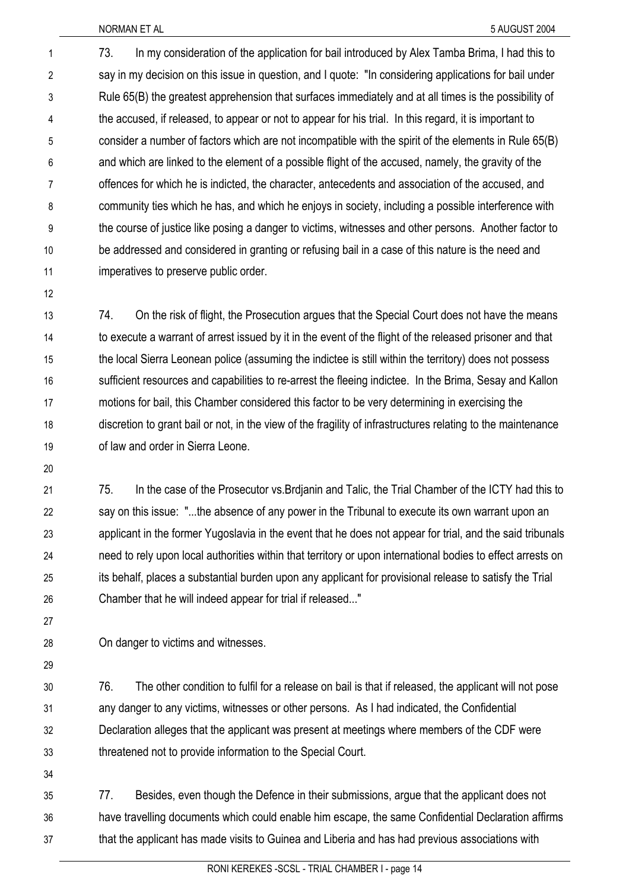73. In my consideration of the application for bail introduced by Alex Tamba Brima, I had this to say in my decision on this issue in question, and I quote: "In considering applications for bail under Rule 65(B) the greatest apprehension that surfaces immediately and at all times is the possibility of the accused, if released, to appear or not to appear for his trial. In this regard, it is important to consider a number of factors which are not incompatible with the spirit of the elements in Rule 65(B) and which are linked to the element of a possible flight of the accused, namely, the gravity of the offences for which he is indicted, the character, antecedents and association of the accused, and community ties which he has, and which he enjoys in society, including a possible interference with the course of justice like posing a danger to victims, witnesses and other persons. Another factor to be addressed and considered in granting or refusing bail in a case of this nature is the need and imperatives to preserve public order. 1 2 3 4 5 6 7 8 9 10 11

12

13 14 15 16 17 18 19 74. On the risk of flight, the Prosecution argues that the Special Court does not have the means to execute a warrant of arrest issued by it in the event of the flight of the released prisoner and that the local Sierra Leonean police (assuming the indictee is still within the territory) does not possess sufficient resources and capabilities to re-arrest the fleeing indictee. In the Brima, Sesay and Kallon motions for bail, this Chamber considered this factor to be very determining in exercising the discretion to grant bail or not, in the view of the fragility of infrastructures relating to the maintenance of law and order in Sierra Leone.

20

21 22 23 24 25 26 75. In the case of the Prosecutor vs.Brdjanin and Talic, the Trial Chamber of the ICTY had this to say on this issue: "...the absence of any power in the Tribunal to execute its own warrant upon an applicant in the former Yugoslavia in the event that he does not appear for trial, and the said tribunals need to rely upon local authorities within that territory or upon international bodies to effect arrests on its behalf, places a substantial burden upon any applicant for provisional release to satisfy the Trial Chamber that he will indeed appear for trial if released..."

27 28

On danger to victims and witnesses.

29

30 31 32 33 76. The other condition to fulfil for a release on bail is that if released, the applicant will not pose any danger to any victims, witnesses or other persons. As I had indicated, the Confidential Declaration alleges that the applicant was present at meetings where members of the CDF were threatened not to provide information to the Special Court.

34

35 36 37 77. Besides, even though the Defence in their submissions, argue that the applicant does not have travelling documents which could enable him escape, the same Confidential Declaration affirms that the applicant has made visits to Guinea and Liberia and has had previous associations with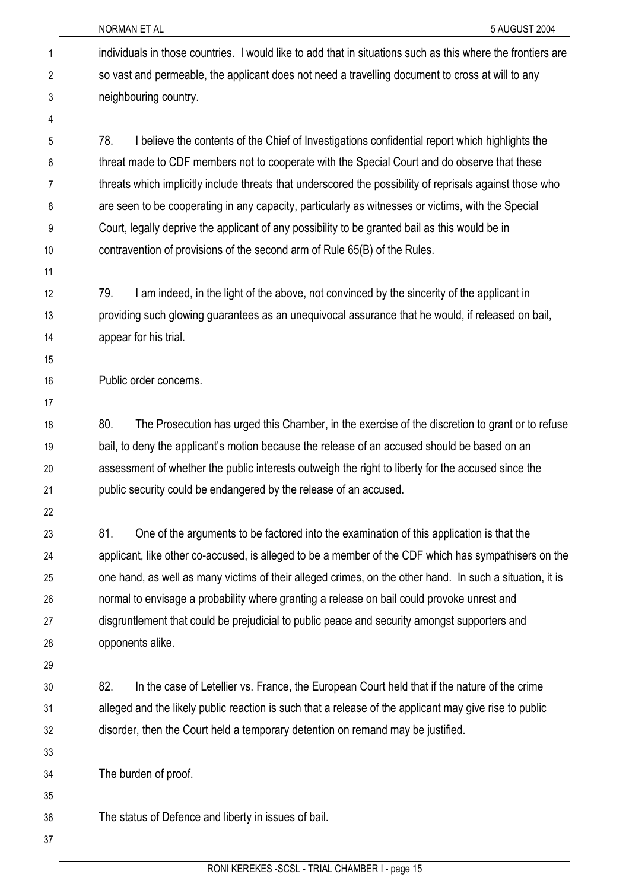NORMAN ET AL 5 AUGUST 2004

individuals in those countries. I would like to add that in situations such as this where the frontiers are so vast and permeable, the applicant does not need a travelling document to cross at will to any neighbouring country. 1 2 3 4 5 6 7 8 9 10 11 12 13 14 15 16 17 18 19 20 21 22 23 24 25 26 27 28 29 30 31 32 33 34 35 36 37 78. I believe the contents of the Chief of Investigations confidential report which highlights the threat made to CDF members not to cooperate with the Special Court and do observe that these threats which implicitly include threats that underscored the possibility of reprisals against those who are seen to be cooperating in any capacity, particularly as witnesses or victims, with the Special Court, legally deprive the applicant of any possibility to be granted bail as this would be in contravention of provisions of the second arm of Rule 65(B) of the Rules. 79. I am indeed, in the light of the above, not convinced by the sincerity of the applicant in providing such glowing guarantees as an unequivocal assurance that he would, if released on bail, appear for his trial. Public order concerns. 80. The Prosecution has urged this Chamber, in the exercise of the discretion to grant or to refuse bail, to deny the applicant's motion because the release of an accused should be based on an assessment of whether the public interests outweigh the right to liberty for the accused since the public security could be endangered by the release of an accused. 81. One of the arguments to be factored into the examination of this application is that the applicant, like other co-accused, is alleged to be a member of the CDF which has sympathisers on the one hand, as well as many victims of their alleged crimes, on the other hand. In such a situation, it is normal to envisage a probability where granting a release on bail could provoke unrest and disgruntlement that could be prejudicial to public peace and security amongst supporters and opponents alike. 82. In the case of Letellier vs. France, the European Court held that if the nature of the crime alleged and the likely public reaction is such that a release of the applicant may give rise to public disorder, then the Court held a temporary detention on remand may be justified. The burden of proof. The status of Defence and liberty in issues of bail.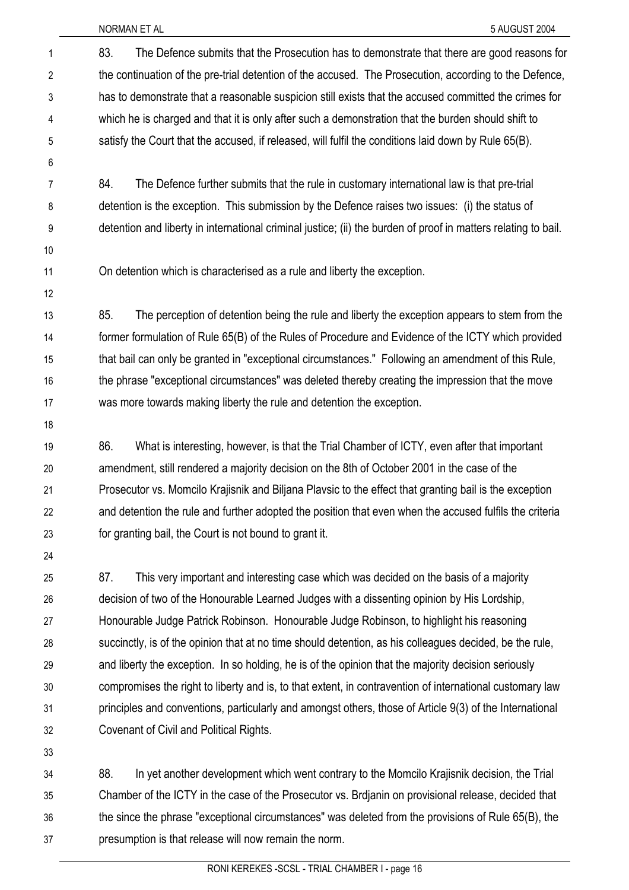NORMAN ET AL 5 AUGUST 2004

83. The Defence submits that the Prosecution has to demonstrate that there are good reasons for the continuation of the pre-trial detention of the accused. The Prosecution, according to the Defence, has to demonstrate that a reasonable suspicion still exists that the accused committed the crimes for which he is charged and that it is only after such a demonstration that the burden should shift to satisfy the Court that the accused, if released, will fulfil the conditions laid down by Rule 65(B). 1 2 3 4 5

7 8 9 84. The Defence further submits that the rule in customary international law is that pre-trial detention is the exception. This submission by the Defence raises two issues: (i) the status of detention and liberty in international criminal justice; (ii) the burden of proof in matters relating to bail.

10 11

12

6

On detention which is characterised as a rule and liberty the exception.

13 14 15 16 17 85. The perception of detention being the rule and liberty the exception appears to stem from the former formulation of Rule 65(B) of the Rules of Procedure and Evidence of the ICTY which provided that bail can only be granted in "exceptional circumstances." Following an amendment of this Rule, the phrase "exceptional circumstances" was deleted thereby creating the impression that the move was more towards making liberty the rule and detention the exception.

18

19 20 21 22 23 86. What is interesting, however, is that the Trial Chamber of ICTY, even after that important amendment, still rendered a majority decision on the 8th of October 2001 in the case of the Prosecutor vs. Momcilo Krajisnik and Biljana Plavsic to the effect that granting bail is the exception and detention the rule and further adopted the position that even when the accused fulfils the criteria for granting bail, the Court is not bound to grant it.

24

25 26 27 28 29 30 31 32 87. This very important and interesting case which was decided on the basis of a majority decision of two of the Honourable Learned Judges with a dissenting opinion by His Lordship, Honourable Judge Patrick Robinson. Honourable Judge Robinson, to highlight his reasoning succinctly, is of the opinion that at no time should detention, as his colleagues decided, be the rule, and liberty the exception. In so holding, he is of the opinion that the majority decision seriously compromises the right to liberty and is, to that extent, in contravention of international customary law principles and conventions, particularly and amongst others, those of Article 9(3) of the International Covenant of Civil and Political Rights.

33

34 35 36 37 88. In yet another development which went contrary to the Momcilo Krajisnik decision, the Trial Chamber of the ICTY in the case of the Prosecutor vs. Brdjanin on provisional release, decided that the since the phrase "exceptional circumstances" was deleted from the provisions of Rule 65(B), the presumption is that release will now remain the norm.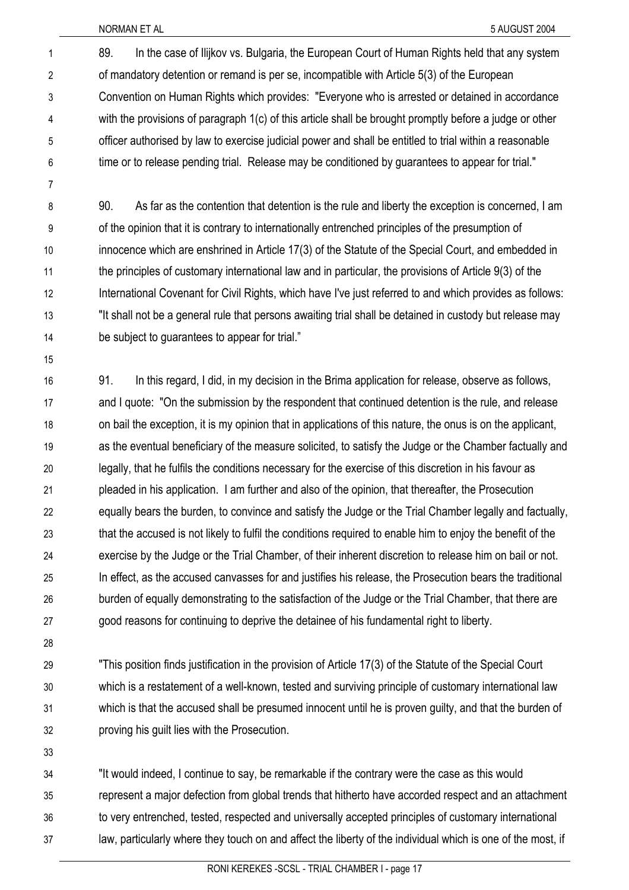89. In the case of Ilijkov vs. Bulgaria, the European Court of Human Rights held that any system of mandatory detention or remand is per se, incompatible with Article 5(3) of the European Convention on Human Rights which provides: "Everyone who is arrested or detained in accordance with the provisions of paragraph 1(c) of this article shall be brought promptly before a judge or other officer authorised by law to exercise judicial power and shall be entitled to trial within a reasonable time or to release pending trial. Release may be conditioned by guarantees to appear for trial." 1 2 3 4 5 6

7

8 9 10 11 12 13 14 90. As far as the contention that detention is the rule and liberty the exception is concerned, I am of the opinion that it is contrary to internationally entrenched principles of the presumption of innocence which are enshrined in Article 17(3) of the Statute of the Special Court, and embedded in the principles of customary international law and in particular, the provisions of Article 9(3) of the International Covenant for Civil Rights, which have I've just referred to and which provides as follows: "It shall not be a general rule that persons awaiting trial shall be detained in custody but release may be subject to guarantees to appear for trial."

15

16 17 18 19 20 21 22 23 24 25 26 27 91. In this regard, I did, in my decision in the Brima application for release, observe as follows, and I quote: "On the submission by the respondent that continued detention is the rule, and release on bail the exception, it is my opinion that in applications of this nature, the onus is on the applicant, as the eventual beneficiary of the measure solicited, to satisfy the Judge or the Chamber factually and legally, that he fulfils the conditions necessary for the exercise of this discretion in his favour as pleaded in his application. I am further and also of the opinion, that thereafter, the Prosecution equally bears the burden, to convince and satisfy the Judge or the Trial Chamber legally and factually, that the accused is not likely to fulfil the conditions required to enable him to enjoy the benefit of the exercise by the Judge or the Trial Chamber, of their inherent discretion to release him on bail or not. In effect, as the accused canvasses for and justifies his release, the Prosecution bears the traditional burden of equally demonstrating to the satisfaction of the Judge or the Trial Chamber, that there are good reasons for continuing to deprive the detainee of his fundamental right to liberty.

28

29 30 31 32 "This position finds justification in the provision of Article 17(3) of the Statute of the Special Court which is a restatement of a well-known, tested and surviving principle of customary international law which is that the accused shall be presumed innocent until he is proven guilty, and that the burden of proving his guilt lies with the Prosecution.

33

34 35 36 37 "It would indeed, I continue to say, be remarkable if the contrary were the case as this would represent a major defection from global trends that hitherto have accorded respect and an attachment to very entrenched, tested, respected and universally accepted principles of customary international law, particularly where they touch on and affect the liberty of the individual which is one of the most, if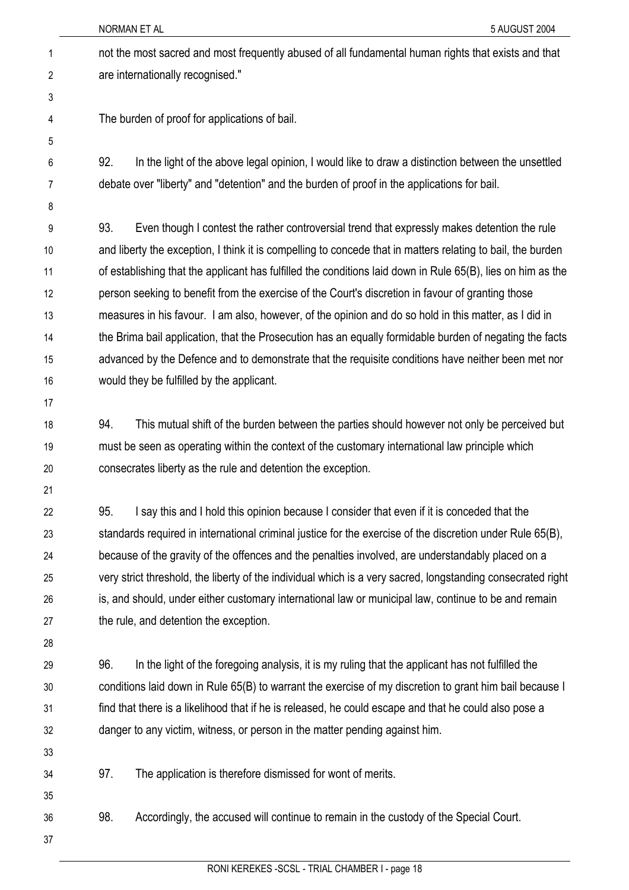not the most sacred and most frequently abused of all fundamental human rights that exists and that are internationally recognised." 1 2

4 5

6

3

The burden of proof for applications of bail.

92. In the light of the above legal opinion, I would like to draw a distinction between the unsettled debate over "liberty" and "detention" and the burden of proof in the applications for bail.

7 8

9 10 11 12 13 14 15 16 93. Even though I contest the rather controversial trend that expressly makes detention the rule and liberty the exception, I think it is compelling to concede that in matters relating to bail, the burden of establishing that the applicant has fulfilled the conditions laid down in Rule 65(B), lies on him as the person seeking to benefit from the exercise of the Court's discretion in favour of granting those measures in his favour. I am also, however, of the opinion and do so hold in this matter, as I did in the Brima bail application, that the Prosecution has an equally formidable burden of negating the facts advanced by the Defence and to demonstrate that the requisite conditions have neither been met nor would they be fulfilled by the applicant.

17

18 19 20 94. This mutual shift of the burden between the parties should however not only be perceived but must be seen as operating within the context of the customary international law principle which consecrates liberty as the rule and detention the exception.

21

22 23 24 25 26 27 95. I say this and I hold this opinion because I consider that even if it is conceded that the standards required in international criminal justice for the exercise of the discretion under Rule 65(B), because of the gravity of the offences and the penalties involved, are understandably placed on a very strict threshold, the liberty of the individual which is a very sacred, longstanding consecrated right is, and should, under either customary international law or municipal law, continue to be and remain the rule, and detention the exception.

28

29 30 31 32 96. In the light of the foregoing analysis, it is my ruling that the applicant has not fulfilled the conditions laid down in Rule 65(B) to warrant the exercise of my discretion to grant him bail because I find that there is a likelihood that if he is released, he could escape and that he could also pose a danger to any victim, witness, or person in the matter pending against him.

33

34

35

97. The application is therefore dismissed for wont of merits.

36 98. Accordingly, the accused will continue to remain in the custody of the Special Court.

37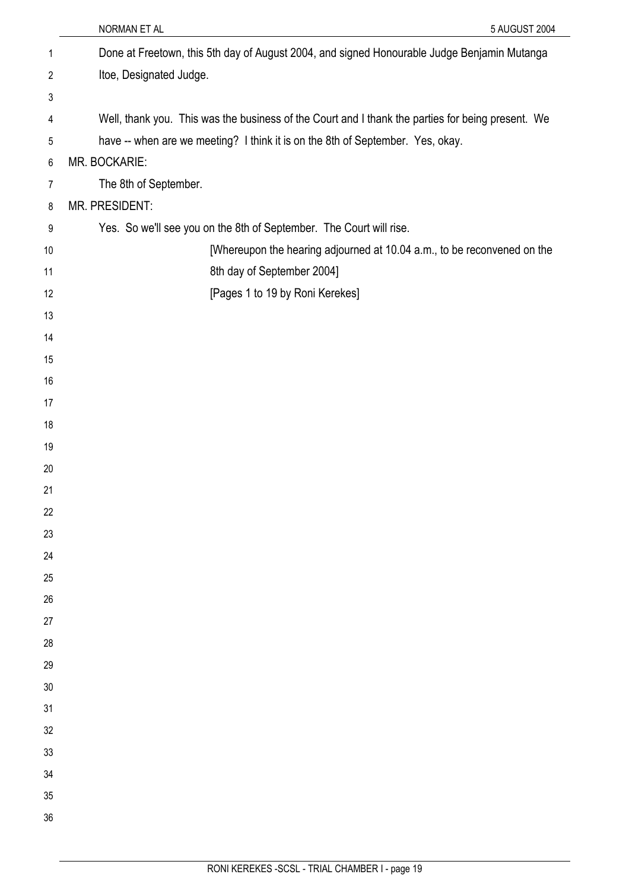|                | NORMAN ET AL<br>5 AUGUST 2004                                                                     |
|----------------|---------------------------------------------------------------------------------------------------|
| 1              | Done at Freetown, this 5th day of August 2004, and signed Honourable Judge Benjamin Mutanga       |
| $\overline{c}$ | Itoe, Designated Judge.                                                                           |
| 3              |                                                                                                   |
| 4              | Well, thank you. This was the business of the Court and I thank the parties for being present. We |
| 5              | have -- when are we meeting? I think it is on the 8th of September. Yes, okay.                    |
| $\,6\,$        | MR. BOCKARIE:                                                                                     |
| $\overline{7}$ | The 8th of September.                                                                             |
| 8              | MR. PRESIDENT:                                                                                    |
| 9              | Yes. So we'll see you on the 8th of September. The Court will rise.                               |
| 10             | [Whereupon the hearing adjourned at 10.04 a.m., to be reconvened on the                           |
| 11             | 8th day of September 2004]                                                                        |
| 12             | [Pages 1 to 19 by Roni Kerekes]                                                                   |
| 13             |                                                                                                   |
| 14             |                                                                                                   |
| 15             |                                                                                                   |
| 16             |                                                                                                   |
| 17             |                                                                                                   |
| 18             |                                                                                                   |
| 19             |                                                                                                   |
| 20             |                                                                                                   |
| 21             |                                                                                                   |
| 22             |                                                                                                   |
| 23             |                                                                                                   |
| 24<br>25       |                                                                                                   |
| 26             |                                                                                                   |
| 27             |                                                                                                   |
| 28             |                                                                                                   |
| 29             |                                                                                                   |
| 30             |                                                                                                   |
| 31             |                                                                                                   |
| 32             |                                                                                                   |
| 33             |                                                                                                   |
| 34             |                                                                                                   |
| 35             |                                                                                                   |
| 36             |                                                                                                   |
|                |                                                                                                   |